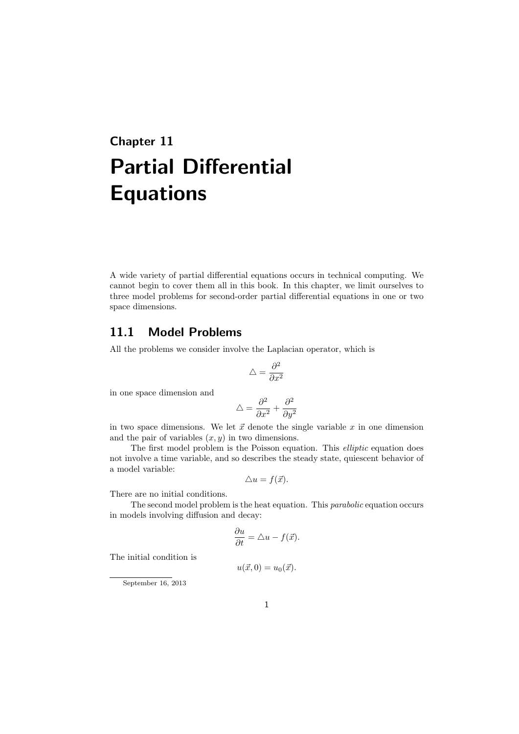# **Chapter 11 Partial Differential Equations**

A wide variety of partial differential equations occurs in technical computing. We cannot begin to cover them all in this book. In this chapter, we limit ourselves to three model problems for second-order partial differential equations in one or two space dimensions.

### **11.1 Model Problems**

All the problems we consider involve the Laplacian operator, which is

$$
\triangle=\frac{\partial^2}{\partial x^2}
$$

in one space dimension and

$$
\triangle = \frac{\partial^2}{\partial x^2} + \frac{\partial^2}{\partial y^2}
$$

in two space dimensions. We let  $\vec{x}$  denote the single variable  $x$  in one dimension and the pair of variables  $(x, y)$  in two dimensions.

The first model problem is the Poisson equation. This *elliptic* equation does not involve a time variable, and so describes the steady state, quiescent behavior of a model variable:

$$
\triangle u = f(\vec{x}).
$$

There are no initial conditions.

The second model problem is the heat equation. This *parabolic* equation occurs in models involving diffusion and decay:

$$
\frac{\partial u}{\partial t} = \triangle u - f(\vec{x}).
$$

The initial condition is

$$
u(\vec{x},0) = u_0(\vec{x}).
$$

September 16, 2013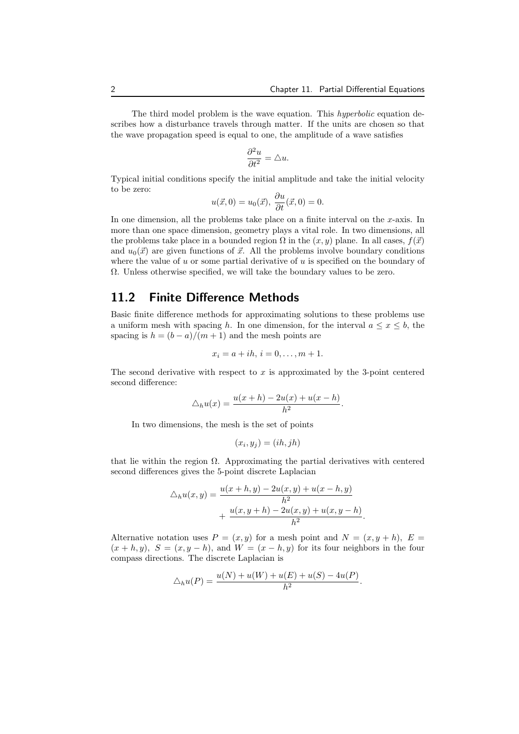The third model problem is the wave equation. This *hyperbolic* equation describes how a disturbance travels through matter. If the units are chosen so that the wave propagation speed is equal to one, the amplitude of a wave satisfies

$$
\frac{\partial^2 u}{\partial t^2} = \triangle u.
$$

Typical initial conditions specify the initial amplitude and take the initial velocity to be zero:

$$
u(\vec{x},0) = u_0(\vec{x}), \frac{\partial u}{\partial t}(\vec{x},0) = 0.
$$

In one dimension, all the problems take place on a finite interval on the *x*-axis. In more than one space dimension, geometry plays a vital role. In two dimensions, all the problems take place in a bounded region  $\Omega$  in the  $(x, y)$  plane. In all cases,  $f(\vec{x})$ and  $u_0(\vec{x})$  are given functions of  $\vec{x}$ . All the problems involve boundary conditions where the value of *u* or some partial derivative of *u* is specified on the boundary of Ω. Unless otherwise specified, we will take the boundary values to be zero.

### **11.2 Finite Difference Methods**

Basic finite difference methods for approximating solutions to these problems use a uniform mesh with spacing *h*. In one dimension, for the interval  $a \leq x \leq b$ , the spacing is  $h = (b - a)/(m + 1)$  and the mesh points are

$$
x_i = a + ih, i = 0, \dots, m + 1.
$$

The second derivative with respect to  $x$  is approximated by the 3-point centered second difference:

$$
\triangle_h u(x) = \frac{u(x+h) - 2u(x) + u(x-h)}{h^2}.
$$

In two dimensions, the mesh is the set of points

$$
(x_i, y_j) = (ih, jh)
$$

that lie within the region  $\Omega$ . Approximating the partial derivatives with centered second differences gives the 5-point discrete Laplacian

$$
\Delta_h u(x, y) = \frac{u(x+h, y) - 2u(x, y) + u(x-h, y)}{h^2} + \frac{u(x, y+h) - 2u(x, y) + u(x, y-h)}{h^2}
$$

*.*

Alternative notation uses  $P = (x, y)$  for a mesh point and  $N = (x, y + h)$ ,  $E =$  $(x + h, y)$ ,  $S = (x, y - h)$ , and  $W = (x - h, y)$  for its four neighbors in the four compass directions. The discrete Laplacian is

$$
\triangle_h u(P) = \frac{u(N) + u(W) + u(E) + u(S) - 4u(P)}{h^2}.
$$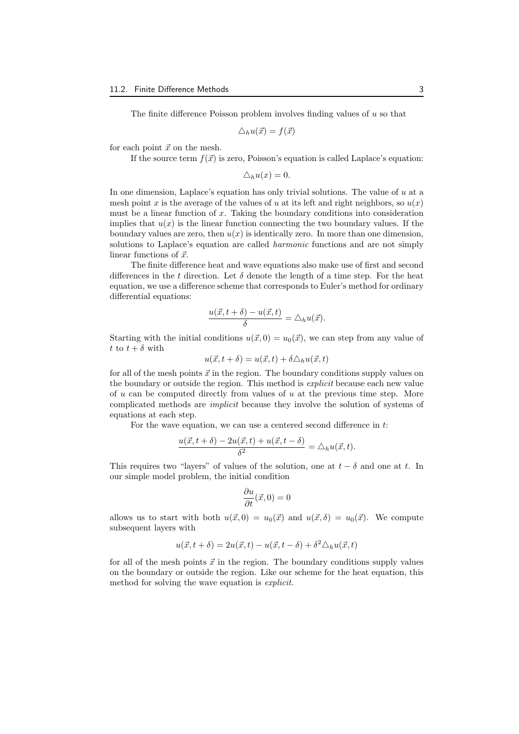The finite difference Poisson problem involves finding values of *u* so that

$$
\triangle_h u(\vec{x}) = f(\vec{x})
$$

for each point  $\vec{x}$  on the mesh.

If the source term  $f(\vec{x})$  is zero, Poisson's equation is called Laplace's equation:

$$
\triangle_h u(x) = 0.
$$

In one dimension, Laplace's equation has only trivial solutions. The value of *u* at a mesh point *x* is the average of the values of *u* at its left and right neighbors, so  $u(x)$ must be a linear function of *x*. Taking the boundary conditions into consideration implies that  $u(x)$  is the linear function connecting the two boundary values. If the boundary values are zero, then  $u(x)$  is identically zero. In more than one dimension, solutions to Laplace's equation are called *harmonic* functions and are not simply linear functions of  $\vec{x}$ .

The finite difference heat and wave equations also make use of first and second differences in the *t* direction. Let  $\delta$  denote the length of a time step. For the heat equation, we use a difference scheme that corresponds to Euler's method for ordinary differential equations:

$$
\frac{u(\vec{x}, t + \delta) - u(\vec{x}, t)}{\delta} = \triangle_h u(\vec{x}).
$$

Starting with the initial conditions  $u(\vec{x}, 0) = u_0(\vec{x})$ , we can step from any value of *t* to  $t + \delta$  with

$$
u(\vec{x}, t + \delta) = u(\vec{x}, t) + \delta \triangle_h u(\vec{x}, t)
$$

for all of the mesh points  $\vec{x}$  in the region. The boundary conditions supply values on the boundary or outside the region. This method is *explicit* because each new value of *u* can be computed directly from values of *u* at the previous time step. More complicated methods are *implicit* because they involve the solution of systems of equations at each step.

For the wave equation, we can use a centered second difference in *t*:

$$
\frac{u(\vec{x},t+\delta) - 2u(\vec{x},t) + u(\vec{x},t-\delta)}{\delta^2} = \triangle_h u(\vec{x},t).
$$

This requires two "layers" of values of the solution, one at  $t - \delta$  and one at *t*. In our simple model problem, the initial condition

$$
\frac{\partial u}{\partial t}(\vec{x},0)=0
$$

allows us to start with both  $u(\vec{x},0) = u_0(\vec{x})$  and  $u(\vec{x},\delta) = u_0(\vec{x})$ . We compute subsequent layers with

$$
u(\vec{x}, t + \delta) = 2u(\vec{x}, t) - u(\vec{x}, t - \delta) + \delta^2 \Delta_h u(\vec{x}, t)
$$

for all of the mesh points  $\vec{x}$  in the region. The boundary conditions supply values on the boundary or outside the region. Like our scheme for the heat equation, this method for solving the wave equation is *explicit*.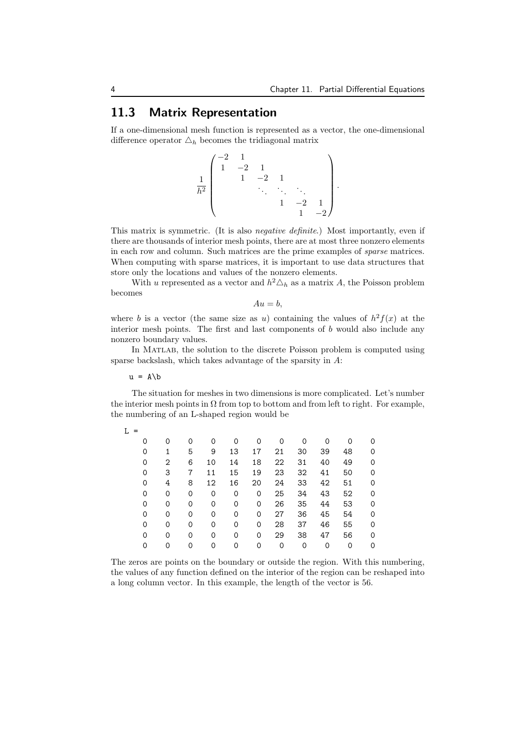## **11.3 Matrix Representation**

If a one-dimensional mesh function is represented as a vector, the one-dimensional difference operator  $\Delta_h$  becomes the tridiagonal matrix

$$
\frac{1}{h^2} \begin{pmatrix} -2 & 1 & & & & \\ 1 & -2 & 1 & & & \\ & 1 & -2 & 1 & & \\ & & \ddots & \ddots & \ddots & \\ & & & 1 & -2 & 1 \\ & & & & 1 & -2 \end{pmatrix}.
$$

This matrix is symmetric. (It is also *negative definite*.) Most importantly, even if there are thousands of interior mesh points, there are at most three nonzero elements in each row and column. Such matrices are the prime examples of *sparse* matrices. When computing with sparse matrices, it is important to use data structures that store only the locations and values of the nonzero elements.

With *u* represented as a vector and  $h^2 \Delta_h$  as a matrix *A*, the Poisson problem becomes

 $Au = b$ .

where *b* is a vector (the same size as *u*) containing the values of  $h^2 f(x)$  at the interior mesh points. The first and last components of *b* would also include any nonzero boundary values.

In Matlab, the solution to the discrete Poisson problem is computed using sparse backslash, which takes advantage of the sparsity in *A*:

 $u = A \b$ 

The situation for meshes in two dimensions is more complicated. Let's number the interior mesh points in  $\Omega$  from top to bottom and from left to right. For example, the numbering of an L-shaped region would be

| T. |   |   |   |    |    |    |    |    |    |          |   |  |
|----|---|---|---|----|----|----|----|----|----|----------|---|--|
|    | 0 | Ω | 0 | 0  | 0  | 0  | 0  | 0  | 0  | $\Omega$ | 0 |  |
|    | 0 |   | 5 | 9  | 13 | 17 | 21 | 30 | 39 | 48       | 0 |  |
|    | 0 | 2 | 6 | 10 | 14 | 18 | 22 | 31 | 40 | 49       | 0 |  |
|    | 0 | 3 | 7 | 11 | 15 | 19 | 23 | 32 | 41 | 50       | 0 |  |
|    | 0 | 4 | 8 | 12 | 16 | 20 | 24 | 33 | 42 | 51       | 0 |  |
|    | 0 | 0 | 0 | 0  | 0  | 0  | 25 | 34 | 43 | 52       | 0 |  |
|    | 0 | 0 | 0 | 0  | 0  | 0  | 26 | 35 | 44 | 53       | 0 |  |
|    | 0 | 0 | 0 | 0  | 0  | 0  | 27 | 36 | 45 | 54       | 0 |  |
|    | 0 | 0 | 0 | 0  | 0  | 0  | 28 | 37 | 46 | 55       | 0 |  |
|    | 0 | 0 | 0 | 0  | 0  | 0  | 29 | 38 | 47 | 56       | 0 |  |
|    | 0 | 0 | 0 | 0  | 0  | 0  | 0  | 0  | 0  | 0        | 0 |  |
|    |   |   |   |    |    |    |    |    |    |          |   |  |

The zeros are points on the boundary or outside the region. With this numbering, the values of any function defined on the interior of the region can be reshaped into a long column vector. In this example, the length of the vector is 56.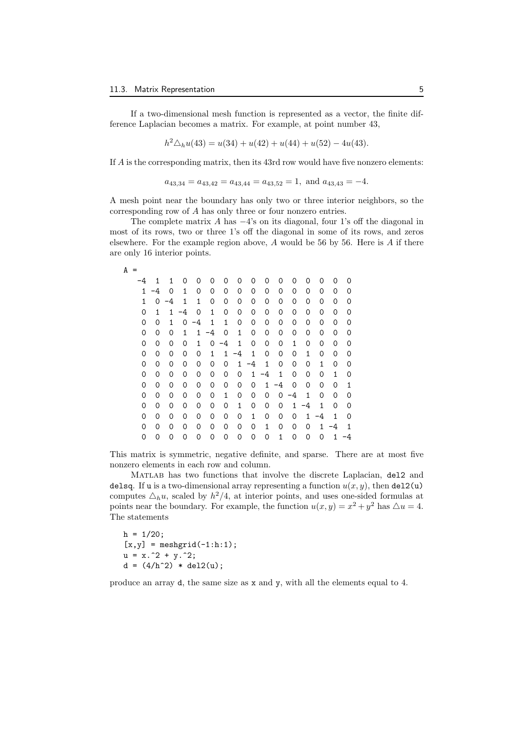If a two-dimensional mesh function is represented as a vector, the finite difference Laplacian becomes a matrix. For example, at point number 43,

$$
h2 \triangle_h u(43) = u(34) + u(42) + u(44) + u(52) - 4u(43).
$$

If *A* is the corresponding matrix, then its 43rd row would have five nonzero elements:

$$
a_{43,34} = a_{43,42} = a_{43,44} = a_{43,52} = 1
$$
, and  $a_{43,43} = -4$ .

A mesh point near the boundary has only two or three interior neighbors, so the corresponding row of *A* has only three or four nonzero entries.

The complete matrix *A* has *−*4's on its diagonal, four 1's off the diagonal in most of its rows, two or three 1's off the diagonal in some of its rows, and zeros elsewhere. For the example region above, *A* would be 56 by 56. Here is *A* if there are only 16 interior points.

$$
A =
$$

| -4 | 1  | 1        | 0  | 0  | 0    | 0    | 0            | 0  | 0    | 0  | 0  | 0  | 0            | 0  | ი  |
|----|----|----------|----|----|------|------|--------------|----|------|----|----|----|--------------|----|----|
| 1  | -4 | $\Omega$ | 1  | 0  | 0    | 0    | 0            | 0  | 0    | 0  | 0  | 0  | 0            | 0  | 0  |
| 1  | 0  | -4       | 1  | 1  | 0    | 0    | 0            | 0  | 0    | 0  | 0  | 0  | 0            | 0  | 0  |
| 0  | 1  | 1        | -4 | 0  | 1    | 0    | 0            | 0  | 0    | 0  | 0  | 0  | 0            | 0  | 0  |
| 0  | 0  | 1        | 0  | -4 | 1    | 1    | 0            | 0  | 0    | 0  | 0  | 0  | 0            | 0  | 0  |
| 0  | 0  | 0        | 1  | 1  | $-4$ | 0    | 1            | 0  | 0    | 0  | 0  | 0  | 0            | 0  | 0  |
| 0  | 0  | 0        | 0  | 1  | 0    | $-4$ | $\mathbf{1}$ | 0  | 0    | 0  | 1  | 0  | 0            | 0  | 0  |
| 0  | 0  | 0        | 0  | 0  | 1    | 1    | -4           | 1  | 0    | 0  | 0  | 1  | 0            | 0  | 0  |
| 0  | 0  | 0        | 0  | 0  | 0    | 0    | $\mathbf{1}$ | -4 | 1    | 0  | 0  | 0  | $\mathbf{1}$ | 0  | 0  |
| 0  | 0  | 0        | 0  | 0  | 0    | 0    | 0            | 1  | $-4$ | 1  | 0  | 0  | 0            | 1  | 0  |
| 0  | 0  | 0        | 0  | 0  | 0    | 0    | 0            | 0  | 1    | -4 | 0  | 0  | 0            | 0  | 1  |
| 0  | 0  | 0        | 0  | 0  | 0    | 1    | 0            | 0  | 0    | 0  | -4 | 1  | 0            | 0  | 0  |
| 0  | 0  | 0        | 0  | 0  | 0    | 0    | $\mathbf{1}$ | 0  | 0    | 0  | 1  | -4 | $\mathbf{1}$ | 0  | 0  |
| 0  | 0  | 0        | 0  | 0  | 0    | 0    | 0            | 1  | 0    | 0  | 0  | 1  | -4           | 1  | 0  |
| 0  | 0  | 0        | 0  | 0  | 0    | 0    | 0            | 0  | 1    | 0  | 0  | 0  | 1            | -4 | 1  |
| 0  | 0  | 0        | 0  | 0  | 0    | 0    | 0            | 0  | 0    | 1  | 0  | 0  | 0            | 1  | -4 |

This matrix is symmetric, negative definite, and sparse. There are at most five nonzero elements in each row and column.

Matlab has two functions that involve the discrete Laplacian, del2 and delsq. If u is a two-dimensional array representing a function  $u(x, y)$ , then del2(u) computes  $\Delta_h u$ , scaled by  $h^2/4$ , at interior points, and uses one-sided formulas at points near the boundary. For example, the function  $u(x, y) = x^2 + y^2$  has  $\triangle u = 4$ . The statements

 $h = 1/20;$  $[x,y] = \text{meshgrid}(-1:h:1);$  $u = x.^2 + y.^2$ ;  $d = (4/h^2) * del2(u);$ 

produce an array d, the same size as x and y, with all the elements equal to 4.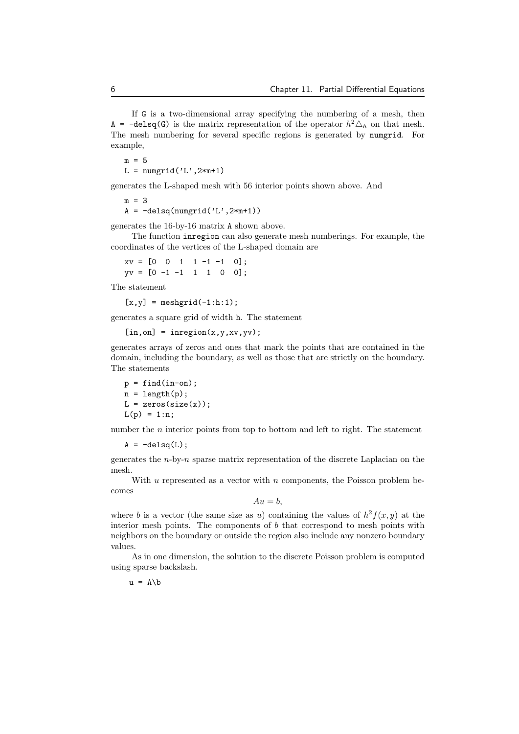If G is a two-dimensional array specifying the numbering of a mesh, then A =  $-\text{delay}(G)$  is the matrix representation of the operator  $h^2 \Delta_h$  on that mesh. The mesh numbering for several specific regions is generated by numgrid. For example,

 $m = 5$  $L = numgrid('L', 2*m+1)$ 

generates the L-shaped mesh with 56 interior points shown above. And

 $m = 3$  $A = -delsq(numgrid('L', 2*m+1))$ 

generates the 16-by-16 matrix A shown above.

The function inregion can also generate mesh numberings. For example, the coordinates of the vertices of the L-shaped domain are

 $xy = [0 \ 0 \ 1 \ 1 \ -1 \ -1 \ 0];$  $yy = [0 -1 -1 1 1 0 0];$ 

The statement

 $[x,y] = \text{meshgrid}(-1:h:1);$ 

generates a square grid of width h. The statement

```
[in, on] = inregion(x, y, xv, yv);
```
generates arrays of zeros and ones that mark the points that are contained in the domain, including the boundary, as well as those that are strictly on the boundary. The statements

 $p = find(in-on);$  $n = length(p);$  $L = zeros(size(x));$  $L(p) = 1:n;$ 

number the *n* interior points from top to bottom and left to right. The statement

 $A = -delsa(L)$ :

generates the *n*-by-*n* sparse matrix representation of the discrete Laplacian on the mesh.

With *u* represented as a vector with *n* components, the Poisson problem becomes

 $Au = b$ ,

where *b* is a vector (the same size as *u*) containing the values of  $h^2 f(x, y)$  at the interior mesh points. The components of *b* that correspond to mesh points with neighbors on the boundary or outside the region also include any nonzero boundary values.

As in one dimension, the solution to the discrete Poisson problem is computed using sparse backslash.

 $u = A \ b$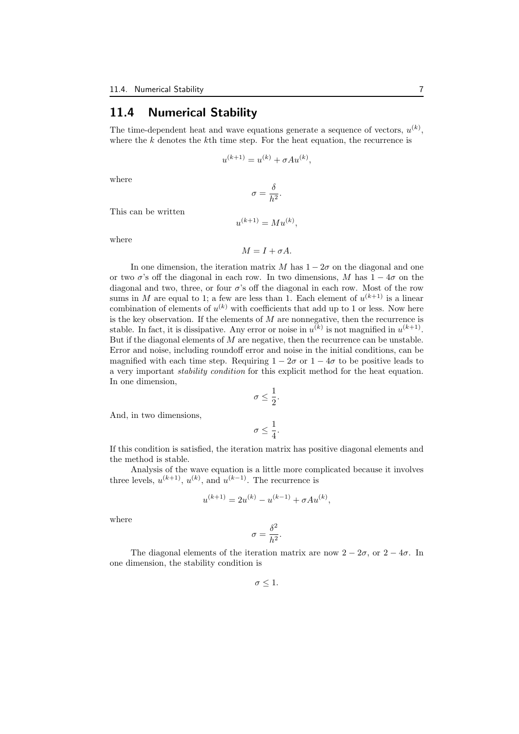## **11.4 Numerical Stability**

The time-dependent heat and wave equations generate a sequence of vectors,  $u^{(k)}$ , where the *k* denotes the *k*th time step. For the heat equation, the recurrence is

$$
u^{(k+1)} = u^{(k)} + \sigma A u^{(k)},
$$

where

$$
\sigma = \frac{\delta}{h^2}.
$$

This can be written

$$
u^{(k+1)} = Mu^{(k)},
$$

where

$$
M=I+\sigma A.
$$

In one dimension, the iteration matrix *M* has  $1 - 2\sigma$  on the diagonal and one or two  $\sigma$ 's off the diagonal in each row. In two dimensions, *M* has  $1 - 4\sigma$  on the diagonal and two, three, or four *σ*'s off the diagonal in each row. Most of the row sums in *M* are equal to 1; a few are less than 1. Each element of  $u^{(k+1)}$  is a linear combination of elements of  $u^{(k)}$  with coefficients that add up to 1 or less. Now here is the key observation. If the elements of *M* are nonnegative, then the recurrence is stable. In fact, it is dissipative. Any error or noise in  $u^{(k)}$  is not magnified in  $u^{(k+1)}$ . But if the diagonal elements of *M* are negative, then the recurrence can be unstable. Error and noise, including roundoff error and noise in the initial conditions, can be magnified with each time step. Requiring  $1 - 2\sigma$  or  $1 - 4\sigma$  to be positive leads to a very important *stability condition* for this explicit method for the heat equation. In one dimension,

$$
\sigma \leq \frac{1}{2}.
$$

And, in two dimensions,

$$
\sigma\leq \frac{1}{4}.
$$

If this condition is satisfied, the iteration matrix has positive diagonal elements and the method is stable.

Analysis of the wave equation is a little more complicated because it involves three levels,  $u^{(k+1)}$ ,  $u^{(k)}$ , and  $u^{(k-1)}$ . The recurrence is

$$
u^{(k+1)} = 2u^{(k)} - u^{(k-1)} + \sigma A u^{(k)},
$$

where

$$
\sigma = \frac{\delta^2}{h^2}.
$$

The diagonal elements of the iteration matrix are now  $2 - 2\sigma$ , or  $2 - 4\sigma$ . In one dimension, the stability condition is

 $\sigma \leq 1$ .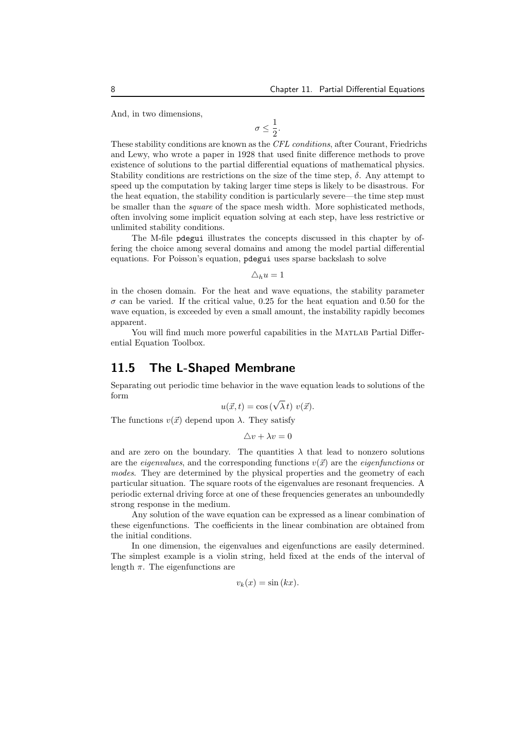And, in two dimensions,

$$
\sigma\leq \frac{1}{2}.
$$

These stability conditions are known as the *CFL conditions*, after Courant, Friedrichs and Lewy, who wrote a paper in 1928 that used finite difference methods to prove existence of solutions to the partial differential equations of mathematical physics. Stability conditions are restrictions on the size of the time step,  $\delta$ . Any attempt to speed up the computation by taking larger time steps is likely to be disastrous. For the heat equation, the stability condition is particularly severe—the time step must be smaller than the *square* of the space mesh width. More sophisticated methods, often involving some implicit equation solving at each step, have less restrictive or unlimited stability conditions.

The M-file pdegui illustrates the concepts discussed in this chapter by offering the choice among several domains and among the model partial differential equations. For Poisson's equation, pdegui uses sparse backslash to solve

 $\Delta_h u = 1$ 

in the chosen domain. For the heat and wave equations, the stability parameter *σ* can be varied. If the critical value, 0*.*25 for the heat equation and 0*.*50 for the wave equation, is exceeded by even a small amount, the instability rapidly becomes apparent.

You will find much more powerful capabilities in the MATLAB Partial Differential Equation Toolbox.

### **11.5 The L-Shaped Membrane**

Separating out periodic time behavior in the wave equation leads to solutions of the form

$$
u(\vec{x},t) = \cos\left(\sqrt{\lambda}t\right)v(\vec{x}).
$$

The functions  $v(\vec{x})$  depend upon  $\lambda$ . They satisfy

 $\Delta v + \lambda v = 0$ 

and are zero on the boundary. The quantities  $\lambda$  that lead to nonzero solutions are the *eigenvalues*, and the corresponding functions  $v(\vec{x})$  are the *eigenfunctions* or *modes*. They are determined by the physical properties and the geometry of each particular situation. The square roots of the eigenvalues are resonant frequencies. A periodic external driving force at one of these frequencies generates an unboundedly strong response in the medium.

Any solution of the wave equation can be expressed as a linear combination of these eigenfunctions. The coefficients in the linear combination are obtained from the initial conditions.

In one dimension, the eigenvalues and eigenfunctions are easily determined. The simplest example is a violin string, held fixed at the ends of the interval of length  $\pi$ . The eigenfunctions are

$$
v_k(x) = \sin(kx).
$$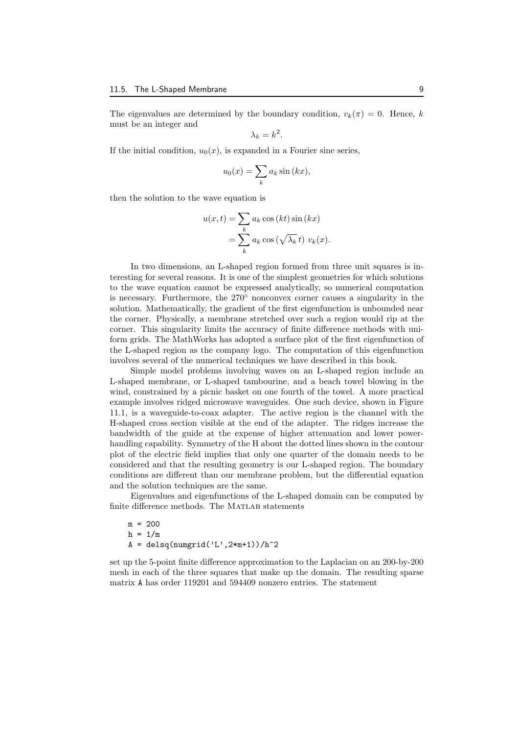The eigenvalues are determined by the boundary condition,  $v_k(\pi) = 0$ . Hence, *k* must be an integer and

$$
\lambda_k = k^2.
$$

If the initial condition,  $u_0(x)$ , is expanded in a Fourier sine series,

$$
u_0(x) = \sum_k a_k \sin(kx),
$$

then the solution to the wave equation is

$$
u(x,t) = \sum_{k} a_k \cos(kt) \sin(kx)
$$
  
= 
$$
\sum_{k} a_k \cos(\sqrt{\lambda_k} t) v_k(x).
$$

In two dimensions, an L-shaped region formed from three unit squares is interesting for several reasons. It is one of the simplest geometries for which solutions to the wave equation cannot be expressed analytically, so numerical computation is necessary. Furthermore, the 270*◦* nonconvex corner causes a singularity in the solution. Mathematically, the gradient of the first eigenfunction is unbounded near the corner. Physically, a membrane stretched over such a region would rip at the corner. This singularity limits the accuracy of finite difference methods with uniform grids. The MathWorks has adopted a surface plot of the first eigenfunction of the L-shaped region as the company logo. The computation of this eigenfunction involves several of the numerical techniques we have described in this book.

Simple model problems involving waves on an L-shaped region include an L-shaped membrane, or L-shaped tambourine, and a beach towel blowing in the wind, constrained by a picnic basket on one fourth of the towel. A more practical example involves ridged microwave waveguides. One such device, shown in Figure 11.1, is a waveguide-to-coax adapter. The active region is the channel with the H-shaped cross section visible at the end of the adapter. The ridges increase the bandwidth of the guide at the expense of higher attenuation and lower powerhandling capability. Symmetry of the H about the dotted lines shown in the contour plot of the electric field implies that only one quarter of the domain needs to be considered and that the resulting geometry is our L-shaped region. The boundary conditions are different than our membrane problem, but the differential equation and the solution techniques are the same.

Eigenvalues and eigenfunctions of the L-shaped domain can be computed by finite difference methods. The MATLAB statements

 $m = 200$  $h = 1/m$  $A = delsq(numgrid('L', 2*m+1))/h^2$ 

set up the 5-point finite difference approximation to the Laplacian on an 200-by-200 mesh in each of the three squares that make up the domain. The resulting sparse matrix A has order 119201 and 594409 nonzero entries. The statement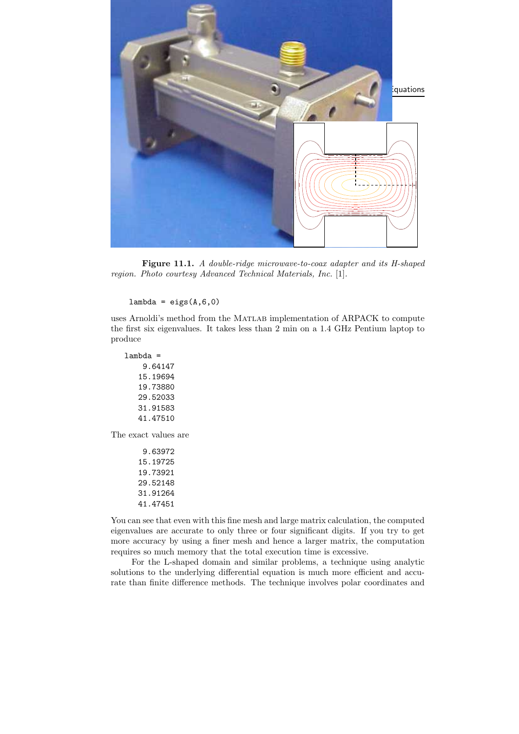

**Figure 11.1.** *A double-ridge microwave-to-coax adapter and its H-shaped region. Photo courtesy Advanced Technical Materials, Inc.* [1]*.*

 $lambda = eigS(A,6,0)$ 

uses Arnoldi's method from the Matlab implementation of ARPACK to compute the first six eigenvalues. It takes less than 2 min on a 1.4 GHz Pentium laptop to produce

lambda = 9.64147 15.19694 19.73880 29.52033 31.91583 41.47510

The exact values are

9.63972 15.19725 19.73921 29.52148 31.91264 41.47451

You can see that even with this fine mesh and large matrix calculation, the computed eigenvalues are accurate to only three or four significant digits. If you try to get more accuracy by using a finer mesh and hence a larger matrix, the computation requires so much memory that the total execution time is excessive.

For the L-shaped domain and similar problems, a technique using analytic solutions to the underlying differential equation is much more efficient and accurate than finite difference methods. The technique involves polar coordinates and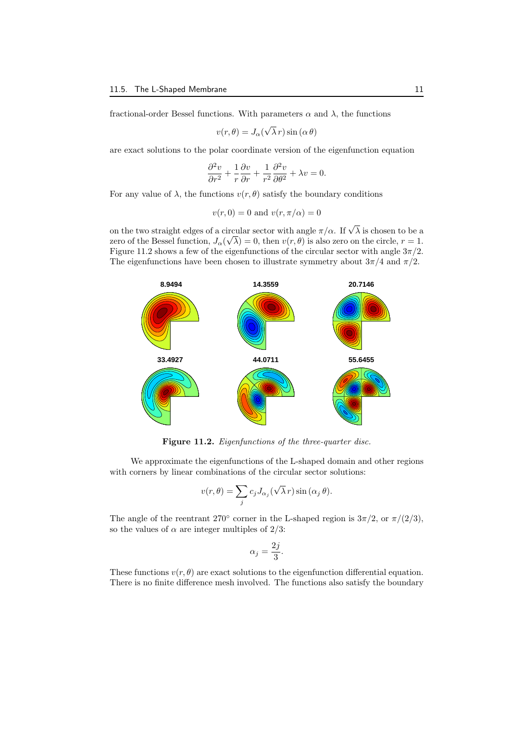fractional-order Bessel functions. With parameters  $\alpha$  and  $\lambda$ , the functions

$$
v(r, \theta) = J_{\alpha}(\sqrt{\lambda} r) \sin(\alpha \theta)
$$

are exact solutions to the polar coordinate version of the eigenfunction equation

$$
\frac{\partial^2 v}{\partial r^2} + \frac{1}{r} \frac{\partial v}{\partial r} + \frac{1}{r^2} \frac{\partial^2 v}{\partial \theta^2} + \lambda v = 0.
$$

For any value of  $\lambda$ , the functions  $v(r, \theta)$  satisfy the boundary conditions

$$
v(r,0) = 0
$$
 and 
$$
v(r, \pi/\alpha) = 0
$$

on the two straight edges of a circular sector with angle  $\pi/\alpha$ . If  $\sqrt{\lambda}$  is chosen to be a zero of the Bessel function,  $J_{\alpha}(\sqrt{\lambda}) = 0$ , then  $v(r, \theta)$  is also zero on the circle,  $r = 1$ . Figure 11.2 shows a few of the eigenfunctions of the circular sector with angle 3*π/*2. The eigenfunctions have been chosen to illustrate symmetry about  $3\pi/4$  and  $\pi/2$ .



**Figure 11.2.** *Eigenfunctions of the three-quarter disc.*

We approximate the eigenfunctions of the L-shaped domain and other regions with corners by linear combinations of the circular sector solutions:

$$
v(r,\theta) = \sum_j c_j J_{\alpha_j}(\sqrt{\lambda}r) \sin(\alpha_j \theta).
$$

The angle of the reentrant 270<sup>°</sup> corner in the L-shaped region is  $3\pi/2$ , or  $\pi/(2/3)$ , so the values of  $\alpha$  are integer multiples of 2/3:

$$
\alpha_j = \frac{2j}{3}.
$$

These functions  $v(r, \theta)$  are exact solutions to the eigenfunction differential equation. There is no finite difference mesh involved. The functions also satisfy the boundary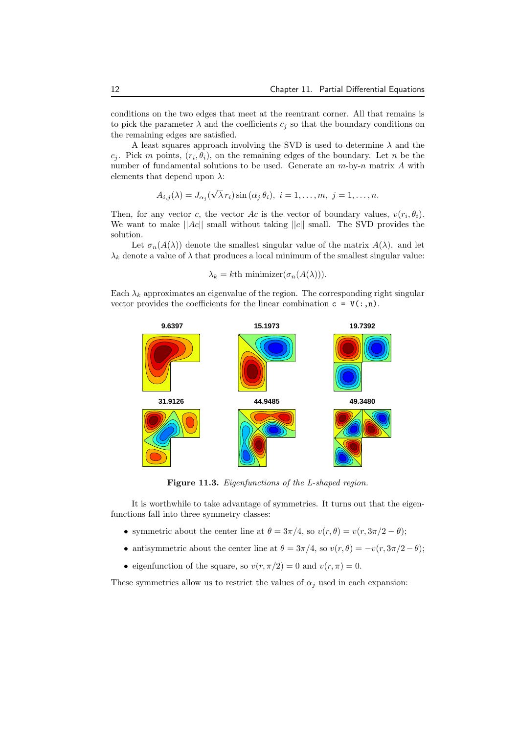conditions on the two edges that meet at the reentrant corner. All that remains is to pick the parameter  $\lambda$  and the coefficients  $c_j$  so that the boundary conditions on the remaining edges are satisfied.

A least squares approach involving the SVD is used to determine *λ* and the *c*<sub>*j*</sub>. Pick *m* points,  $(r_i, \theta_i)$ , on the remaining edges of the boundary. Let *n* be the number of fundamental solutions to be used. Generate an *m*-by-*n* matrix *A* with elements that depend upon *λ*:

$$
A_{i,j}(\lambda) = J_{\alpha_j}(\sqrt{\lambda}r_i)\sin(\alpha_j\theta_i), \ i = 1,\ldots,m, \ j = 1,\ldots,n.
$$

Then, for any vector *c*, the vector *Ac* is the vector of boundary values,  $v(r_i, \theta_i)$ . We want to make  $||Ac||$  small without taking  $||c||$  small. The SVD provides the solution.

Let  $\sigma_n(A(\lambda))$  denote the smallest singular value of the matrix  $A(\lambda)$ . and let  $\lambda_k$  denote a value of  $\lambda$  that produces a local minimum of the smallest singular value:

$$
\lambda_k = k \text{th minimizer}(\sigma_n(A(\lambda))).
$$

Each  $\lambda_k$  approximates an eigenvalue of the region. The corresponding right singular vector provides the coefficients for the linear combination  $c = V(:,n)$ .



**Figure 11.3.** *Eigenfunctions of the L-shaped region.*

It is worthwhile to take advantage of symmetries. It turns out that the eigenfunctions fall into three symmetry classes:

- symmetric about the center line at  $\theta = 3\pi/4$ , so  $v(r, \theta) = v(r, 3\pi/2 \theta)$ ;
- antisymmetric about the center line at  $\theta = 3\pi/4$ , so  $v(r, \theta) = -v(r, 3\pi/2 \theta)$ ;
- eigenfunction of the square, so  $v(r, \pi/2) = 0$  and  $v(r, \pi) = 0$ .

These symmetries allow us to restrict the values of  $\alpha_j$  used in each expansion: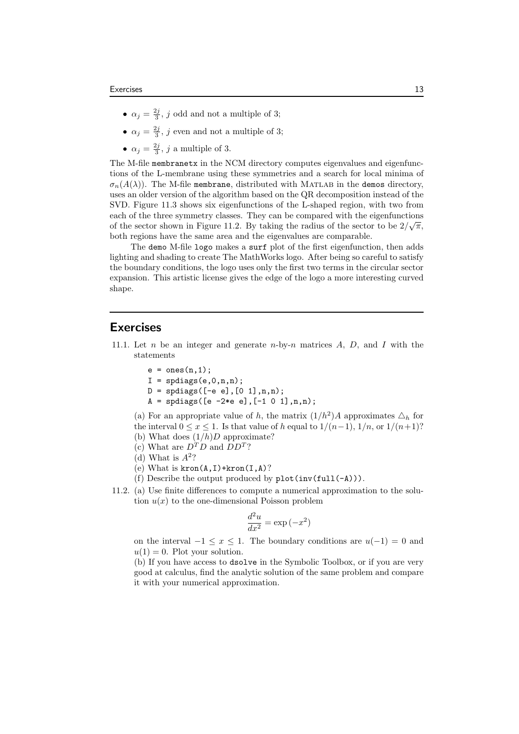- $\alpha_j = \frac{2j}{3}$ , *j* odd and not a multiple of 3;
- $\alpha_j = \frac{2j}{3}$ , *j* even and not a multiple of 3;
- $\alpha_j = \frac{2j}{3}$ , *j* a multiple of 3.

The M-file membranetx in the NCM directory computes eigenvalues and eigenfunctions of the L-membrane using these symmetries and a search for local minima of  $\sigma_n(A(\lambda))$ . The M-file membrane, distributed with MATLAB in the demos directory, uses an older version of the algorithm based on the QR decomposition instead of the SVD. Figure 11.3 shows six eigenfunctions of the L-shaped region, with two from each of the three symmetry classes. They can be compared with the eigenfunctions of the sector shown in Figure 11.2. By taking the radius of the sector to be  $2/\sqrt{\pi}$ , both regions have the same area and the eigenvalues are comparable.

The demo M-file logo makes a surf plot of the first eigenfunction, then adds lighting and shading to create The MathWorks logo. After being so careful to satisfy the boundary conditions, the logo uses only the first two terms in the circular sector expansion. This artistic license gives the edge of the logo a more interesting curved shape.

#### **Exercises**

- 11.1. Let *n* be an integer and generate *n*-by-*n* matrices *A*, *D*, and *I* with the statements
	- $e = ones(n,1);$
	- $I =$  spdiags $(e, 0, n, n)$ ;
	- $D =$  spdiags( $[-e e], [0 1], n, n$ );
	- $A =$  spdiags([e -2\*e e],  $[-1 \ 0 \ 1]$ , n, n);

(a) For an appropriate value of *h*, the matrix  $(1/h^2)A$  approximates  $\triangle_h$  for the interval  $0 \le x \le 1$ . Is that value of *h* equal to  $1/(n-1)$ ,  $1/n$ , or  $1/(n+1)$ ? (b) What does (1*/h*)*D* approximate?

- (c) What are  $D^T D$  and  $D D^T$ ?
- (d) What is  $A^2$ ?
- (e) What is  $kron(A, I)+kron(I, A)$ ?
- (f) Describe the output produced by  $plot(inv(full(-A)))$ .
- 11.2. (a) Use finite differences to compute a numerical approximation to the solution  $u(x)$  to the one-dimensional Poisson problem

$$
\frac{d^2u}{dx^2} = \exp(-x^2)
$$

on the interval  $-1 \leq x \leq 1$ . The boundary conditions are  $u(-1) = 0$  and  $u(1) = 0$ . Plot your solution.

(b) If you have access to dsolve in the Symbolic Toolbox, or if you are very good at calculus, find the analytic solution of the same problem and compare it with your numerical approximation.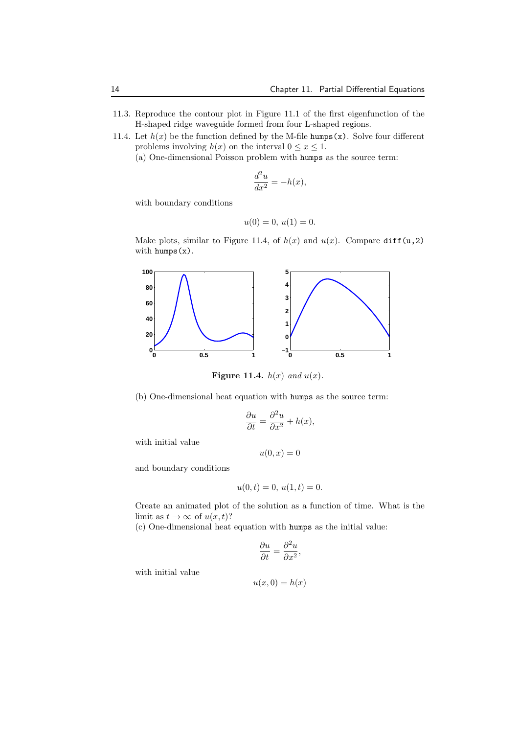- 11.3. Reproduce the contour plot in Figure 11.1 of the first eigenfunction of the H-shaped ridge waveguide formed from four L-shaped regions.
- 11.4. Let  $h(x)$  be the function defined by the M-file humps(x). Solve four different problems involving  $h(x)$  on the interval  $0 \le x \le 1$ .
	- (a) One-dimensional Poisson problem with humps as the source term:

$$
\frac{d^2u}{dx^2} = -h(x),
$$

with boundary conditions

$$
u(0) = 0, u(1) = 0.
$$

Make plots, similar to Figure 11.4, of  $h(x)$  and  $u(x)$ . Compare diff(u,2) with humps(x).



**Figure 11.4.**  $h(x)$  and  $u(x)$ .

(b) One-dimensional heat equation with humps as the source term:

$$
\frac{\partial u}{\partial t} = \frac{\partial^2 u}{\partial x^2} + h(x),
$$

with initial value

$$
u(0,x)=0
$$

and boundary conditions

$$
u(0,t) = 0, u(1,t) = 0.
$$

Create an animated plot of the solution as a function of time. What is the limit as  $t \to \infty$  of  $u(x, t)$ ?

(c) One-dimensional heat equation with humps as the initial value:

$$
\frac{\partial u}{\partial t} = \frac{\partial^2 u}{\partial x^2},
$$

with initial value

$$
u(x,0)=h(x)
$$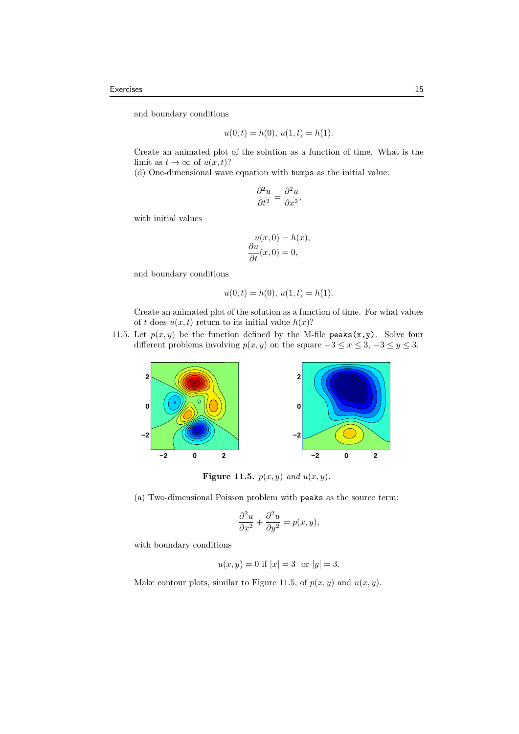and boundary conditions

$$
u(0,t) = h(0), u(1,t) = h(1).
$$

Create an animated plot of the solution as a function of time. What is the limit as  $t \to \infty$  of  $u(x, t)$ ?

(d) One-dimensional wave equation with humps as the initial value:

$$
\frac{\partial^2 u}{\partial t^2} = \frac{\partial^2 u}{\partial x^2},
$$

with initial values

$$
u(x, 0) = h(x),
$$
  
\n
$$
\frac{\partial u}{\partial t}(x, 0) = 0,
$$

and boundary conditions

$$
u(0,t) = h(0), u(1,t) = h(1).
$$

Create an animated plot of the solution as a function of time. For what values of *t* does  $u(x, t)$  return to its initial value  $h(x)$ ?

11.5. Let  $p(x, y)$  be the function defined by the M-file peaks(x,y). Solve four different problems involving  $p(x, y)$  on the square  $-3 \le x \le 3, -3 \le y \le 3$ .



**Figure 11.5.**  $p(x, y)$  and  $u(x, y)$ .

(a) Two-dimensional Poisson problem with peaks as the source term:

$$
\frac{\partial^2 u}{\partial x^2} + \frac{\partial^2 u}{\partial y^2} = p(x, y),
$$

with boundary conditions

$$
u(x, y) = 0
$$
 if  $|x| = 3$  or  $|y| = 3$ .

Make contour plots, similar to Figure 11.5, of  $p(x, y)$  and  $u(x, y)$ .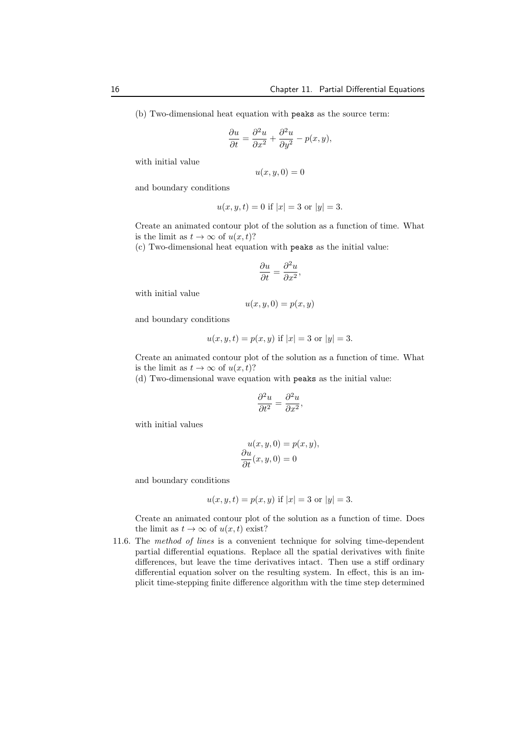(b) Two-dimensional heat equation with peaks as the source term:

$$
\frac{\partial u}{\partial t} = \frac{\partial^2 u}{\partial x^2} + \frac{\partial^2 u}{\partial y^2} - p(x, y),
$$

with initial value

$$
u(x,y,0) = 0
$$

and boundary conditions

$$
u(x, y, t) = 0
$$
 if  $|x| = 3$  or  $|y| = 3$ .

Create an animated contour plot of the solution as a function of time. What is the limit as  $t \to \infty$  of  $u(x, t)$ ?

(c) Two-dimensional heat equation with peaks as the initial value:

$$
\frac{\partial u}{\partial t} = \frac{\partial^2 u}{\partial x^2},
$$

with initial value

$$
u(x, y, 0) = p(x, y)
$$

and boundary conditions

$$
u(x, y, t) = p(x, y)
$$
 if  $|x| = 3$  or  $|y| = 3$ .

Create an animated contour plot of the solution as a function of time. What is the limit as  $t \to \infty$  of  $u(x, t)$ ?

(d) Two-dimensional wave equation with peaks as the initial value:

$$
\frac{\partial^2 u}{\partial t^2} = \frac{\partial^2 u}{\partial x^2},
$$

with initial values

$$
u(x, y, 0) = p(x, y),
$$
  
\n
$$
\frac{\partial u}{\partial t}(x, y, 0) = 0
$$

and boundary conditions

$$
u(x, y, t) = p(x, y)
$$
 if  $|x| = 3$  or  $|y| = 3$ .

Create an animated contour plot of the solution as a function of time. Does the limit as  $t \to \infty$  of  $u(x, t)$  exist?

11.6. The *method of lines* is a convenient technique for solving time-dependent partial differential equations. Replace all the spatial derivatives with finite differences, but leave the time derivatives intact. Then use a stiff ordinary differential equation solver on the resulting system. In effect, this is an implicit time-stepping finite difference algorithm with the time step determined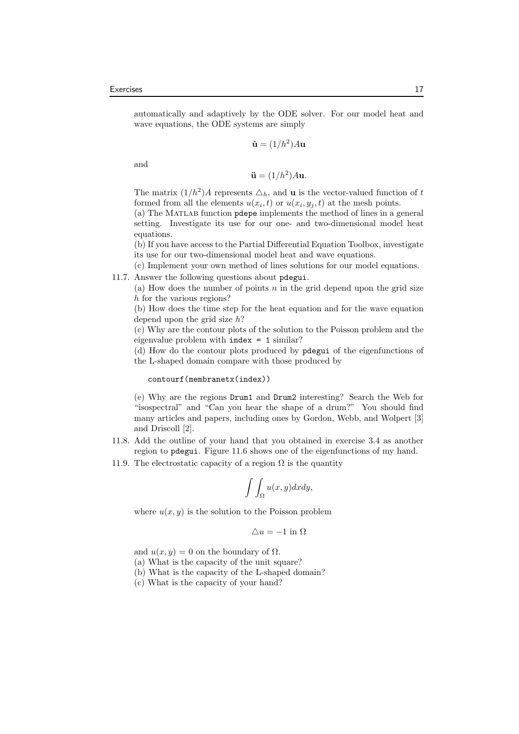automatically and adaptively by the ODE solver. For our model heat and wave equations, the ODE systems are simply

$$
\dot{\mathbf{u}} = (1/h^2)A\mathbf{u}
$$

and

$$
\ddot{\mathbf{u}} = (1/h^2)A\mathbf{u}.
$$

The matrix  $(1/h^2)A$  represents  $\Delta_h$ , and **u** is the vector-valued function of *t* formed from all the elements  $u(x_i, t)$  or  $u(x_i, y_j, t)$  at the mesh points.

(a) The Matlab function pdepe implements the method of lines in a general setting. Investigate its use for our one- and two-dimensional model heat equations.

(b) If you have access to the Partial Differential Equation Toolbox, investigate its use for our two-dimensional model heat and wave equations.

(c) Implement your own method of lines solutions for our model equations.

11.7. Answer the following questions about pdegui.

(a) How does the number of points *n* in the grid depend upon the grid size *h* for the various regions?

(b) How does the time step for the heat equation and for the wave equation depend upon the grid size *h*?

(c) Why are the contour plots of the solution to the Poisson problem and the eigenvalue problem with index = 1 similar?

(d) How do the contour plots produced by pdegui of the eigenfunctions of the L-shaped domain compare with those produced by

contourf(membranetx(index))

(e) Why are the regions Drum1 and Drum2 interesting? Search the Web for "isospectral" and "Can you hear the shape of a drum?" You should find many articles and papers, including ones by Gordon, Webb, and Wolpert [3] and Driscoll [2].

- 11.8. Add the outline of your hand that you obtained in exercise 3.4 as another region to pdegui. Figure 11.6 shows one of the eigenfunctions of my hand.
- 11.9. The electrostatic capacity of a region  $\Omega$  is the quantity

$$
\int\int_{\Omega}u(x,y)dxdy,
$$

where  $u(x, y)$  is the solution to the Poisson problem

$$
\triangle u = -1 \text{ in } \Omega
$$

and  $u(x, y) = 0$  on the boundary of  $\Omega$ .

(a) What is the capacity of the unit square?

- (b) What is the capacity of the L-shaped domain?
- (c) What is the capacity of your hand?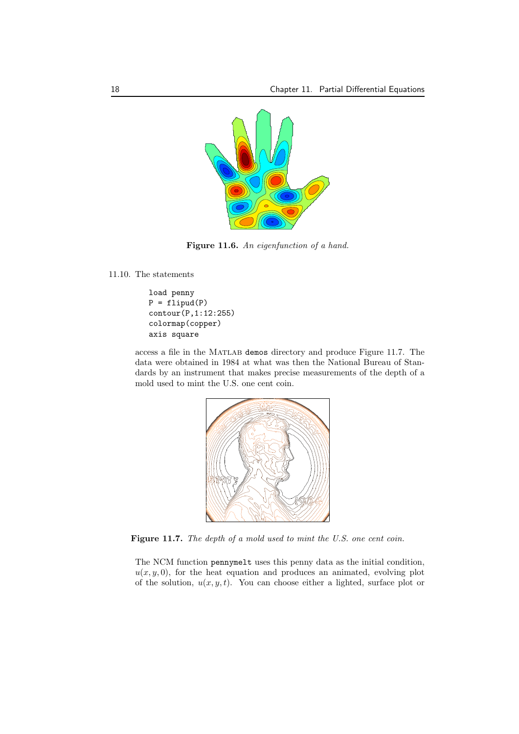

**Figure 11.6.** *An eigenfunction of a hand.*

11.10. The statements

load penny  $P = flipud(P)$ contour(P,1:12:255) colormap(copper) axis square

access a file in the Matlab demos directory and produce Figure 11.7. The data were obtained in 1984 at what was then the National Bureau of Standards by an instrument that makes precise measurements of the depth of a mold used to mint the U.S. one cent coin.



**Figure 11.7.** *The depth of a mold used to mint the U.S. one cent coin.*

The NCM function pennymelt uses this penny data as the initial condition,  $u(x, y, 0)$ , for the heat equation and produces an animated, evolving plot of the solution,  $u(x, y, t)$ . You can choose either a lighted, surface plot or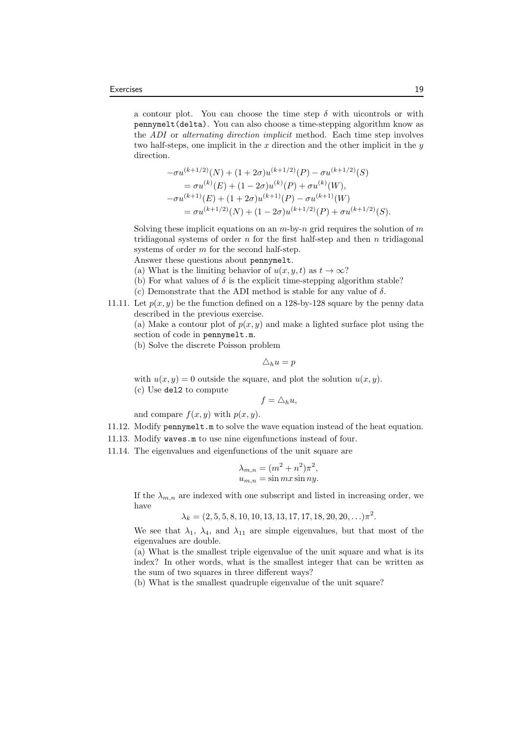a contour plot. You can choose the time step  $\delta$  with uicontrols or with pennymelt(delta). You can also choose a time-stepping algorithm know as the *ADI* or *alternating direction implicit* method. Each time step involves two half-steps, one implicit in the *x* direction and the other implicit in the *y* direction.

$$
-\sigma u^{(k+1/2)}(N) + (1+2\sigma)u^{(k+1/2)}(P) - \sigma u^{(k+1/2)}(S)
$$
  
=  $\sigma u^{(k)}(E) + (1-2\sigma)u^{(k)}(P) + \sigma u^{(k)}(W)$ ,  

$$
-\sigma u^{(k+1)}(E) + (1+2\sigma)u^{(k+1)}(P) - \sigma u^{(k+1)}(W)
$$
  
=  $\sigma u^{(k+1/2)}(N) + (1-2\sigma)u^{(k+1/2)}(P) + \sigma u^{(k+1/2)}(S).$ 

Solving these implicit equations on an *m*-by-*n* grid requires the solution of *m* tridiagonal systems of order *n* for the first half-step and then *n* tridiagonal systems of order *m* for the second half-step.

Answer these questions about pennymelt.

(a) What is the limiting behavior of  $u(x, y, t)$  as  $t \to \infty$ ?

- (b) For what values of  $\delta$  is the explicit time-stepping algorithm stable?
- (c) Demonstrate that the ADI method is stable for any value of *δ*.
- 11.11. Let  $p(x, y)$  be the function defined on a 128-by-128 square by the penny data described in the previous exercise.

(a) Make a contour plot of  $p(x, y)$  and make a lighted surface plot using the section of code in pennymelt.m.

(b) Solve the discrete Poisson problem

$$
\triangle_h u = p
$$

with  $u(x, y) = 0$  outside the square, and plot the solution  $u(x, y)$ . (c) Use del2 to compute

$$
f=\triangle_h u,
$$

and compare  $f(x, y)$  with  $p(x, y)$ .

- 11.12. Modify pennymelt.m to solve the wave equation instead of the heat equation.
- 11.13. Modify waves.m to use nine eigenfunctions instead of four.
- 11.14. The eigenvalues and eigenfunctions of the unit square are

$$
\lambda_{m,n} = (m^2 + n^2)\pi^2,
$$
  

$$
u_{m,n} = \sin mx \sin ny.
$$

If the  $\lambda_{m,n}$  are indexed with one subscript and listed in increasing order, we have

 $\lambda_k = (2, 5, 5, 8, 10, 10, 13, 13, 17, 17, 18, 20, 20, \ldots) \pi^2$ .

We see that  $\lambda_1$ ,  $\lambda_4$ , and  $\lambda_{11}$  are simple eigenvalues, but that most of the eigenvalues are double.

(a) What is the smallest triple eigenvalue of the unit square and what is its index? In other words, what is the smallest integer that can be written as the sum of two squares in three different ways?

(b) What is the smallest quadruple eigenvalue of the unit square?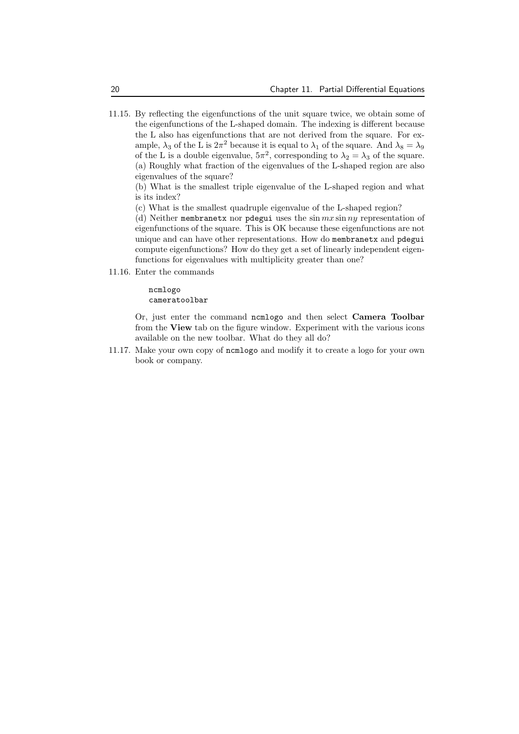11.15. By reflecting the eigenfunctions of the unit square twice, we obtain some of the eigenfunctions of the L-shaped domain. The indexing is different because the L also has eigenfunctions that are not derived from the square. For example,  $\lambda_3$  of the L is  $2\pi^2$  because it is equal to  $\lambda_1$  of the square. And  $\lambda_8 = \lambda_9$ of the L is a double eigenvalue,  $5\pi^2$ , corresponding to  $\lambda_2 = \lambda_3$  of the square. (a) Roughly what fraction of the eigenvalues of the L-shaped region are also eigenvalues of the square?

(b) What is the smallest triple eigenvalue of the L-shaped region and what is its index?

(c) What is the smallest quadruple eigenvalue of the L-shaped region?

(d) Neither membranetx nor pdegui uses the sin *mx* sin *ny* representation of eigenfunctions of the square. This is OK because these eigenfunctions are not unique and can have other representations. How do membranetx and pdegui compute eigenfunctions? How do they get a set of linearly independent eigenfunctions for eigenvalues with multiplicity greater than one?

11.16. Enter the commands

ncmlogo cameratoolbar

Or, just enter the command ncmlogo and then select **Camera Toolbar** from the **View** tab on the figure window. Experiment with the various icons available on the new toolbar. What do they all do?

11.17. Make your own copy of ncmlogo and modify it to create a logo for your own book or company.